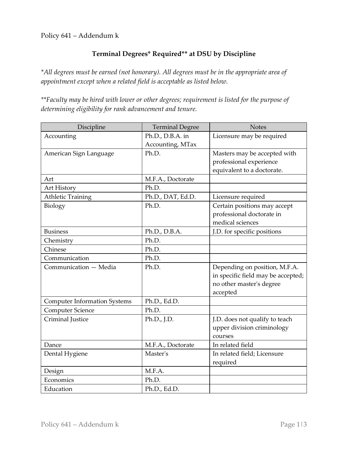Policy 641 – Addendum k

## **Terminal Degrees\* Required\*\* at DSU by Discipline**

*\*All degrees must be earned (not honorary). All degrees must be in the appropriate area of appointment except when a related field is acceptable as listed below.*

*\*\*Faculty may be hired with lower or other degrees; requirement is listed for the purpose of determining eligibility for rank advancement and tenure.*

| Discipline                          | <b>Terminal Degree</b> | <b>Notes</b>                       |
|-------------------------------------|------------------------|------------------------------------|
| Accounting                          | Ph.D., D.B.A. in       | Licensure may be required          |
|                                     | Accounting, MTax       |                                    |
| American Sign Language              | Ph.D.                  | Masters may be accepted with       |
|                                     |                        | professional experience            |
|                                     |                        | equivalent to a doctorate.         |
| Art                                 | M.F.A., Doctorate      |                                    |
| Art History                         | Ph.D.                  |                                    |
| <b>Athletic Training</b>            | Ph.D., DAT, Ed.D.      | Licensure required                 |
| Biology                             | Ph.D.                  | Certain positions may accept       |
|                                     |                        | professional doctorate in          |
|                                     |                        | medical sciences                   |
| <b>Business</b>                     | Ph.D., D.B.A.          | J.D. for specific positions        |
| Chemistry                           | Ph.D.                  |                                    |
| Chinese                             | Ph.D.                  |                                    |
| Communication                       | Ph.D.                  |                                    |
| Communication - Media               | Ph.D.                  | Depending on position, M.F.A.      |
|                                     |                        | in specific field may be accepted; |
|                                     |                        | no other master's degree           |
|                                     |                        | accepted                           |
| <b>Computer Information Systems</b> | Ph.D., Ed.D.           |                                    |
| Computer Science                    | Ph.D.                  |                                    |
| Criminal Justice                    | Ph.D., J.D.            | J.D. does not qualify to teach     |
|                                     |                        | upper division criminology         |
|                                     |                        | courses                            |
| Dance                               | M.F.A., Doctorate      | In related field                   |
| Dental Hygiene                      | Master's               | In related field; Licensure        |
|                                     |                        | required                           |
| Design                              | M.F.A.                 |                                    |
| Economics                           | Ph.D.                  |                                    |
| Education                           | Ph.D., Ed.D.           |                                    |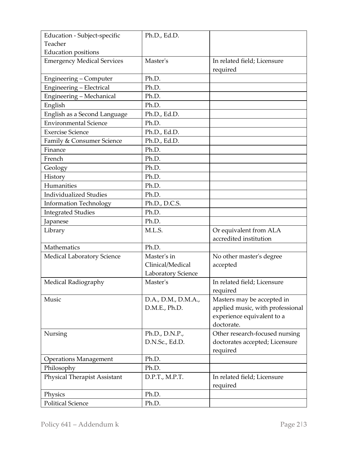| Education - Subject-specific        | Ph.D., Ed.D.        |                                  |
|-------------------------------------|---------------------|----------------------------------|
| Teacher                             |                     |                                  |
| <b>Education positions</b>          |                     |                                  |
| <b>Emergency Medical Services</b>   | Master's            | In related field; Licensure      |
|                                     |                     | required                         |
| Engineering - Computer              | Ph.D.               |                                  |
| Engineering - Electrical            | Ph.D.               |                                  |
| Engineering - Mechanical            | Ph.D.               |                                  |
| English                             | Ph.D.               |                                  |
| English as a Second Language        | Ph.D., Ed.D.        |                                  |
| <b>Environmental Science</b>        | Ph.D.               |                                  |
| <b>Exercise Science</b>             | Ph.D., Ed.D.        |                                  |
| Family & Consumer Science           | Ph.D., Ed.D.        |                                  |
| Finance                             | Ph.D.               |                                  |
| French                              | Ph.D.               |                                  |
| Geology                             | Ph.D.               |                                  |
| History                             | Ph.D.               |                                  |
| Humanities                          | Ph.D.               |                                  |
| <b>Individualized Studies</b>       | Ph.D.               |                                  |
| <b>Information Technology</b>       | Ph.D., D.C.S.       |                                  |
| <b>Integrated Studies</b>           | Ph.D.               |                                  |
| Japanese                            | Ph.D.               |                                  |
| Library                             | M.L.S.              | Or equivalent from ALA           |
|                                     |                     | accredited institution           |
| Mathematics                         | Ph.D.               |                                  |
| Medical Laboratory Science          | Master's in         | No other master's degree         |
|                                     | Clinical/Medical    | accepted                         |
|                                     | Laboratory Science  |                                  |
| Medical Radiography                 | Master's            | In related field; Licensure      |
|                                     |                     | required                         |
| Music                               | D.A., D.M., D.M.A., | Masters may be accepted in       |
|                                     | D.M.E., Ph.D.       | applied music, with professional |
|                                     |                     | experience equivalent to a       |
|                                     |                     | doctorate.                       |
| Nursing                             | Ph.D., D.N.P.,      | Other research-focused nursing   |
|                                     | D.N.Sc., Ed.D.      | doctorates accepted; Licensure   |
|                                     |                     | required                         |
| <b>Operations Management</b>        | Ph.D.               |                                  |
| Philosophy                          | Ph.D.               |                                  |
| <b>Physical Therapist Assistant</b> | D.P.T., M.P.T.      | In related field; Licensure      |
|                                     |                     | required                         |
| Physics                             | Ph.D.               |                                  |
| <b>Political Science</b>            | Ph.D.               |                                  |